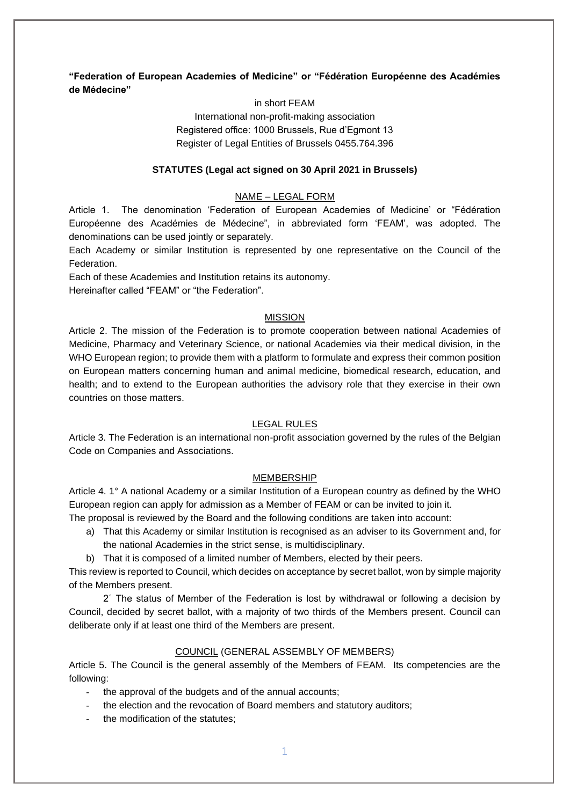# **"Federation of European Academies of Medicine" or "Fédération Européenne des Académies de Médecine"**

## in short FEAM

International non-profit-making association Registered office: 1000 Brussels, Rue d'Egmont 13 Register of Legal Entities of Brussels 0455.764.396

### **STATUTES (Legal act signed on 30 April 2021 in Brussels)**

### NAME – LEGAL FORM

Article 1. The denomination 'Federation of European Academies of Medicine' or "Fédération Européenne des Académies de Médecine", in abbreviated form 'FEAM', was adopted. The denominations can be used jointly or separately.

Each Academy or similar Institution is represented by one representative on the Council of the Federation.

Each of these Academies and Institution retains its autonomy.

Hereinafter called "FEAM" or "the Federation".

#### MISSION

Article 2. The mission of the Federation is to promote cooperation between national Academies of Medicine, Pharmacy and Veterinary Science, or national Academies via their medical division, in the WHO European region; to provide them with a platform to formulate and express their common position on European matters concerning human and animal medicine, biomedical research, education, and health; and to extend to the European authorities the advisory role that they exercise in their own countries on those matters.

#### LEGAL RULES

Article 3. The Federation is an international non-profit association governed by the rules of the Belgian Code on Companies and Associations.

### MEMBERSHIP

Article 4. 1° A national Academy or a similar Institution of a European country as defined by the WHO European region can apply for admission as a Member of FEAM or can be invited to join it. The proposal is reviewed by the Board and the following conditions are taken into account:

- a) That this Academy or similar Institution is recognised as an adviser to its Government and, for the national Academies in the strict sense, is multidisciplinary.
- b) That it is composed of a limited number of Members, elected by their peers.

This review is reported to Council, which decides on acceptance by secret ballot, won by simple majority of the Members present.

2˚ The status of Member of the Federation is lost by withdrawal or following a decision by Council, decided by secret ballot, with a majority of two thirds of the Members present. Council can deliberate only if at least one third of the Members are present.

### COUNCIL (GENERAL ASSEMBLY OF MEMBERS)

Article 5. The Council is the general assembly of the Members of FEAM. Its competencies are the following:

- the approval of the budgets and of the annual accounts;
- the election and the revocation of Board members and statutory auditors;
- the modification of the statutes: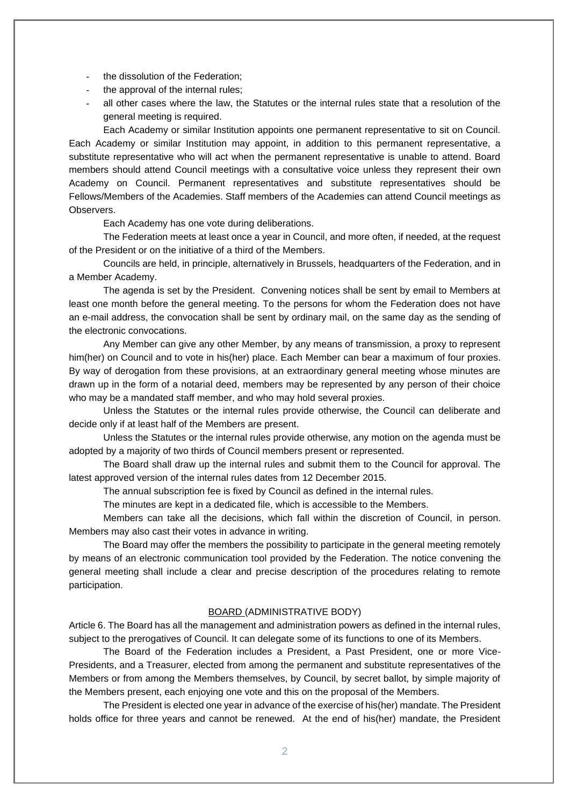- the dissolution of the Federation;
- the approval of the internal rules;
- all other cases where the law, the Statutes or the internal rules state that a resolution of the general meeting is required.

Each Academy or similar Institution appoints one permanent representative to sit on Council. Each Academy or similar Institution may appoint, in addition to this permanent representative, a substitute representative who will act when the permanent representative is unable to attend. Board members should attend Council meetings with a consultative voice unless they represent their own Academy on Council. Permanent representatives and substitute representatives should be Fellows/Members of the Academies. Staff members of the Academies can attend Council meetings as Observers.

Each Academy has one vote during deliberations.

The Federation meets at least once a year in Council, and more often, if needed, at the request of the President or on the initiative of a third of the Members.

Councils are held, in principle, alternatively in Brussels, headquarters of the Federation, and in a Member Academy.

The agenda is set by the President. Convening notices shall be sent by email to Members at least one month before the general meeting. To the persons for whom the Federation does not have an e-mail address, the convocation shall be sent by ordinary mail, on the same day as the sending of the electronic convocations.

Any Member can give any other Member, by any means of transmission, a proxy to represent him(her) on Council and to vote in his(her) place. Each Member can bear a maximum of four proxies. By way of derogation from these provisions, at an extraordinary general meeting whose minutes are drawn up in the form of a notarial deed, members may be represented by any person of their choice who may be a mandated staff member, and who may hold several proxies.

Unless the Statutes or the internal rules provide otherwise, the Council can deliberate and decide only if at least half of the Members are present.

Unless the Statutes or the internal rules provide otherwise, any motion on the agenda must be adopted by a majority of two thirds of Council members present or represented.

The Board shall draw up the internal rules and submit them to the Council for approval. The latest approved version of the internal rules dates from 12 December 2015.

The annual subscription fee is fixed by Council as defined in the internal rules.

The minutes are kept in a dedicated file, which is accessible to the Members.

Members can take all the decisions, which fall within the discretion of Council, in person. Members may also cast their votes in advance in writing.

The Board may offer the members the possibility to participate in the general meeting remotely by means of an electronic communication tool provided by the Federation. The notice convening the general meeting shall include a clear and precise description of the procedures relating to remote participation.

### BOARD (ADMINISTRATIVE BODY)

Article 6. The Board has all the management and administration powers as defined in the internal rules, subject to the prerogatives of Council. It can delegate some of its functions to one of its Members.

The Board of the Federation includes a President, a Past President, one or more Vice-Presidents, and a Treasurer, elected from among the permanent and substitute representatives of the Members or from among the Members themselves, by Council, by secret ballot, by simple majority of the Members present, each enjoying one vote and this on the proposal of the Members.

The President is elected one year in advance of the exercise of his(her) mandate. The President holds office for three years and cannot be renewed. At the end of his(her) mandate, the President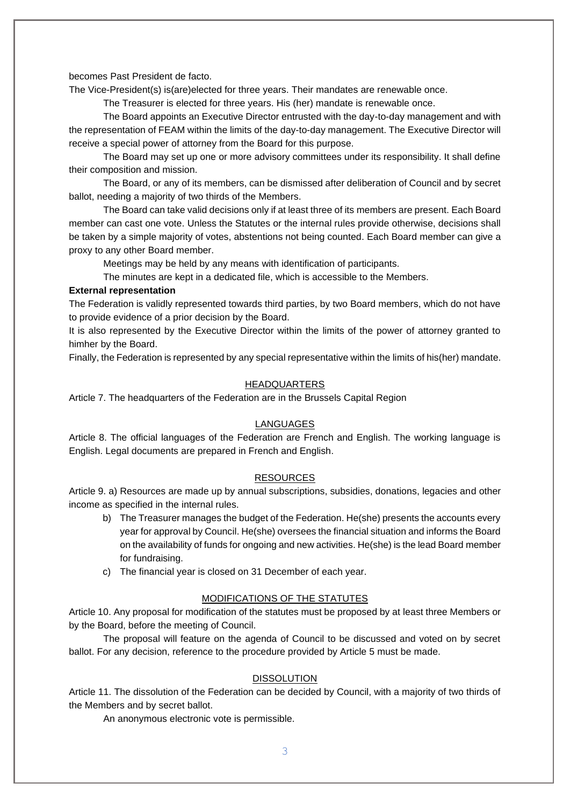becomes Past President de facto.

The Vice-President(s) is(are)elected for three years. Their mandates are renewable once.

The Treasurer is elected for three years. His (her) mandate is renewable once.

The Board appoints an Executive Director entrusted with the day-to-day management and with the representation of FEAM within the limits of the day-to-day management. The Executive Director will receive a special power of attorney from the Board for this purpose.

The Board may set up one or more advisory committees under its responsibility. It shall define their composition and mission.

The Board, or any of its members, can be dismissed after deliberation of Council and by secret ballot, needing a majority of two thirds of the Members.

The Board can take valid decisions only if at least three of its members are present. Each Board member can cast one vote. Unless the Statutes or the internal rules provide otherwise, decisions shall be taken by a simple majority of votes, abstentions not being counted. Each Board member can give a proxy to any other Board member.

Meetings may be held by any means with identification of participants.

The minutes are kept in a dedicated file, which is accessible to the Members.

## **External representation**

The Federation is validly represented towards third parties, by two Board members, which do not have to provide evidence of a prior decision by the Board.

It is also represented by the Executive Director within the limits of the power of attorney granted to himher by the Board.

Finally, the Federation is represented by any special representative within the limits of his(her) mandate.

### HEADQUARTERS

Article 7. The headquarters of the Federation are in the Brussels Capital Region

### LANGUAGES

Article 8. The official languages of the Federation are French and English. The working language is English. Legal documents are prepared in French and English.

### **RESOURCES**

Article 9. a) Resources are made up by annual subscriptions, subsidies, donations, legacies and other income as specified in the internal rules.

- b) The Treasurer manages the budget of the Federation. He(she) presents the accounts every year for approval by Council. He(she) oversees the financial situation and informs the Board on the availability of funds for ongoing and new activities. He(she) is the lead Board member for fundraising.
- c) The financial year is closed on 31 December of each year.

#### MODIFICATIONS OF THE STATUTES

Article 10. Any proposal for modification of the statutes must be proposed by at least three Members or by the Board, before the meeting of Council.

The proposal will feature on the agenda of Council to be discussed and voted on by secret ballot. For any decision, reference to the procedure provided by Article 5 must be made.

#### DISSOLUTION

Article 11. The dissolution of the Federation can be decided by Council, with a majority of two thirds of the Members and by secret ballot.

An anonymous electronic vote is permissible.